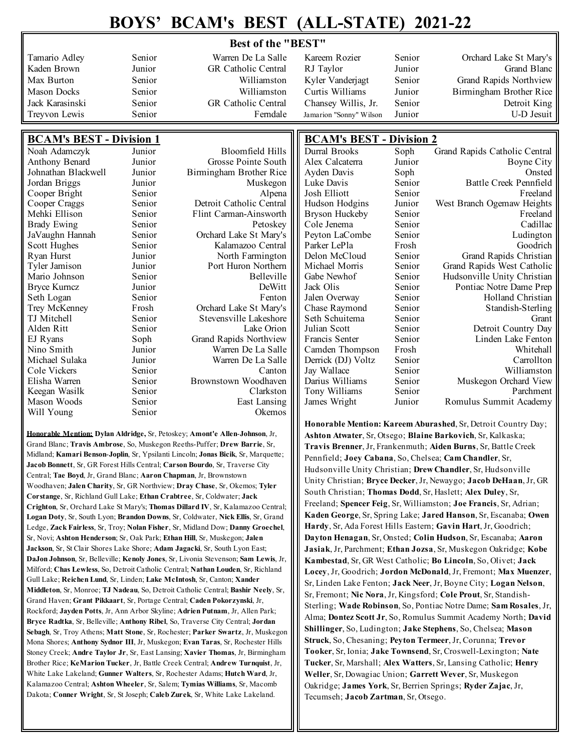## **BOYS' BCAM's BEST (ALL-STATE) 2021-22**

## **Best of the "BEST"**

| Tamario Adley                   | Senior | Warren De La Salle            | Kareem Rozier                   | Senior | Orchard Lake St Mary's        |
|---------------------------------|--------|-------------------------------|---------------------------------|--------|-------------------------------|
| Kaden Brown                     | Junior | GR Catholic Central           | RJ Taylor                       | Junior | Grand Blanc                   |
| Max Burton                      | Senior | Williamston                   | Kyler Vanderjagt                | Senior | Grand Rapids Northview        |
| <b>Mason Docks</b>              | Senior | Williamston                   | Curtis Williams                 | Junior |                               |
|                                 |        |                               |                                 |        | Birmingham Brother Rice       |
| Jack Karasinski                 | Senior | GR Catholic Central           | Chansey Willis, Jr.             | Senior | Detroit King                  |
| Treyvon Lewis                   | Senior | Ferndale                      | Jamarion "Sonny" Wilson         | Junior | U-D Jesuit                    |
|                                 |        |                               |                                 |        |                               |
| <b>BCAM's BEST - Division 1</b> |        |                               | <b>BCAM's BEST - Division 2</b> |        |                               |
| Noah Adamczyk                   | Junior | <b>Bloomfield Hills</b>       | Durral Brooks                   | Soph   | Grand Rapids Catholic Central |
| Anthony Benard                  | Junior | Grosse Pointe South           | Alex Calcaterra                 | Junior | Boyne City                    |
| Johnathan Blackwell             | Junior | Birmingham Brother Rice       | Ayden Davis                     | Soph   | Onsted                        |
| Jordan Briggs                   | Junior | Muskegon                      | Luke Davis                      | Senior | Battle Creek Pennfield        |
| Cooper Bright                   | Senior | Alpena                        | Josh Elliott                    | Senior | Freeland                      |
| Cooper Craggs                   | Senior | Detroit Catholic Central      | Hudson Hodgins                  | Junior | West Branch Ogemaw Heights    |
| Mehki Ellison                   | Senior | Flint Carman-Ainsworth        | Bryson Huckeby                  | Senior | Freeland                      |
| <b>Brady Ewing</b>              | Senior | Petoskey                      | Cole Jenema                     | Senior | Cadillac                      |
| JaVaughn Hannah                 | Senior | Orchard Lake St Mary's        | Peyton LaCombe                  | Senior | Ludington                     |
| Scott Hughes                    | Senior | Kalamazoo Central             | Parker LePla                    | Frosh  | Goodrich                      |
| Ryan Hurst                      | Junior | North Farmington              | Delon McCloud                   | Senior | Grand Rapids Christian        |
| <b>Tyler Jamison</b>            | Junior | Port Huron Northern           | Michael Morris                  | Senior | Grand Rapids West Catholic    |
| Mario Johnson                   | Senior | Belleville                    | Gabe Newhof                     | Senior | Hudsonville Unity Christian   |
| <b>Bryce Kurncz</b>             | Junior | DeWitt                        | Jack Olis                       | Senior | Pontiac Notre Dame Prep       |
| Seth Logan                      | Senior | Fenton                        | Jalen Overway                   | Senior | Holland Christian             |
| Trey McKenney                   | Frosh  | Orchard Lake St Mary's        | Chase Raymond                   | Senior | Standish-Sterling             |
| TJ Mitchell                     | Senior | Stevensville Lakeshore        | Seth Schuitema                  | Senior | Grant                         |
| Alden Ritt                      | Senior | Lake Orion                    | Julian Scott                    | Senior | Detroit Country Day           |
| EJ Ryans                        | Soph   | <b>Grand Rapids Northview</b> | Francis Senter                  | Senior | Linden Lake Fenton            |
| Nino Smith                      | Junior | Warren De La Salle            | Camden Thompson                 | Frosh  | Whitehall                     |
| Michael Sulaka                  | Junior | Warren De La Salle            | Derrick (DJ) Voltz              | Senior | Carrollton                    |
| Cole Vickers                    | Senior | Canton                        | Jay Wallace                     | Senior | Williamston                   |
| Elisha Warren                   | Senior | Brownstown Woodhaven          | Darius Williams                 | Senior | Muskegon Orchard View         |
| Keegan Wasilk                   | Senior | Clarkston                     | Tony Williams                   | Senior | Parchment                     |
| Mason Woods                     | Senior | East Lansing                  | James Wright<br>Ш               | Junior | Romulus Summit Academy        |

**Honorable Mention: Dylan Aldridge,** Sr, Petoskey; **Amont'e Allen**-**Johnson**, Jr, Grand Blanc; **Travis Ambrose**, So, Muskegon Reeths-Puffer; **Drew Barrie**, Sr, Midland; **Kamari Benson**-**Joplin**, Sr, Ypsilanti Lincoln; **Jonas Bicik**, Sr, Marquette; **Jacob Bonnett**, Sr, GR Forest Hills Central; **Carson Bourdo**, Sr, Traverse City Central; **Tae Boyd**, Jr, Grand Blanc; **Aaron Chapman**, Jr, Brownstown Woodhaven; **Jalen Charity**, Sr, GR Northview; **Dray Chase**, Sr, Okemos; **Tyler Corstange**, Sr, Richland Gull Lake; **Ethan Crabtree**, Sr, Coldwater; **Jack Crighton**, Sr, Orchard Lake St Mary's; **Thomas Dillard IV**, Sr, Kalamazoo Central; **Logan Doty**, Sr, South Lyon; **Brandon Downs**, Sr, Coldwater, **Nick Ellis**, Sr, Grand Ledge, **Zack Fairless**, Sr, Troy; **Nolan Fisher**, Sr, Midland Dow; **Danny Groechel**, Sr, Novi; **Ashton Henderson**; Sr, Oak Park; **Ethan Hill**, Sr, Muskegon; **Jalen Jackson**, Sr, St Clair Shores Lake Shore; **Adam Jagacki**, Sr, South Lyon East; **DaJon Johnson**, Sr, Belleville; **Kenoly Jones**, Sr, Livonia Stevenson; **Sam Lewis**, Jr, Milford; **Chas Lewless**, So, Detroit Catholic Central; **Nathan Louden**, Sr, Richland Gull Lake; **Reichen Lund**, Sr, Linden; **Lake McIntosh**, Sr, Canton; **Xander Middleton**, Sr, Monroe; **TJ Nadeau**, So, Detroit Catholic Central; **Bashir Neely**, Sr, Grand Haven; **Grant Pikkaart**, Sr, Portage Central; **Caden Pokorzynski**, Jr, Rockford; **Jayden Potts**, Jr, Ann Arbor Skyline; **Adrien Putnam**, Jr, Allen Park; **Bryce Radtka**, Sr, Belleville; **Anthony Ribel**, So, Traverse City Central; **Jordan Sebagh**, Sr, Troy Athens; **Matt Stone**, Sr, Rochester; **Parker Swartz**, Jr, Muskegon Mona Shores; **Anthony Sydnor III**, Jr, Muskegon; **Evan Taras**, Sr, Rochester Hills Stoney Creek; **Andre Taylor Jr**, Sr, East Lansing; **Xavier Thomas**, Jr, Birmingham Brother Rice; **KeMarion Tucker**, Jr, Battle Creek Central; **Andrew Turnquist**, Jr, White Lake Lakeland; **Gunner Walters**, Sr, Rochester Adams; **Hutch Ward**, Jr, Kalamazoo Central; **Ashton Wheeler**, Sr, Salem; **Tymias Williams**, Sr, Macomb Dakota; **Conner Wright**, Sr, St Joseph; **Caleb Zurek**, Sr, White Lake Lakeland.

Will Young Senior Senior Okemos

**Honorable Mention: Kareem Aburashed**, Sr, Detroit Country Day; **Ashton Atwater**, Sr, Otsego; **Blaine Barkovich**, Sr, Kalkaska; **Travis Brenner**, Jr, Frankenmuth; **Aiden Burns**, Sr, Battle Creek Pennfield; **Joey Cabana**, So, Chelsea; **Cam Chandler**, Sr, Hudsonville Unity Christian; **Drew Chandler**, Sr, Hudsonville Unity Christian; **Bryce Decker**, Jr, Newaygo; **Jacob DeHaan**, Jr, GR South Christian; **Thomas Dodd**, Sr, Haslett; **Alex Duley**, Sr, Freeland; **Spencer Feig**, Sr, Williamston; **Joe Francis**, Sr, Adrian; **Kaden George**, Sr, Spring Lake; **Jared Hanson**, Sr, Escanaba; **Owen Hardy**, Sr, Ada Forest Hills Eastern; **Gavin Hart**, Jr, Goodrich; **Dayton Henagan**, Sr, Onsted; **Colin Hudson**, Sr, Escanaba; **Aaron Jasiak**, Jr, Parchment; **Ethan Jozsa**, Sr, Muskegon Oakridge; **Kobe Kambestad**, Sr, GR West Catholic; **Bo Lincoln**, So, Olivet; **Jack Locey**, Jr, Goodrich; **Jordon McDonald**, Jr, Fremont; **Max Muenzer**, Sr, Linden Lake Fenton; **Jack Neer**, Jr, Boyne City; **Logan Nelson**, Sr, Fremont; **Nic Nora**, Jr, Kingsford; **Cole Prout**, Sr, Standish-Sterling; **Wade Robinson**, So, Pontiac Notre Dame; **Sam Rosales**, Jr, Alma; **Dontez Scott Jr**, So, Romulus Summit Academy North; **David Shillinger**, So, Ludington; **Jake Stephens**, So, Chelsea; **Mason Struck**, So, Chesaning; **Peyton Termeer**, Jr, Corunna; **Trevor Tooker**, Sr, Ionia; **Jake Townsend**, Sr, Croswell-Lexington; **Nate Tucker**, Sr, Marshall; **Alex Watters**, Sr, Lansing Catholic; **Henry Weller**, Sr, Dowagiac Union; **Garrett Wever**, Sr, Muskegon Oakridge; **James York**, Sr, Berrien Springs; **Ryder Zajac**, Jr, Tecumseh; **Jacob Zartman**, Sr, Otsego.